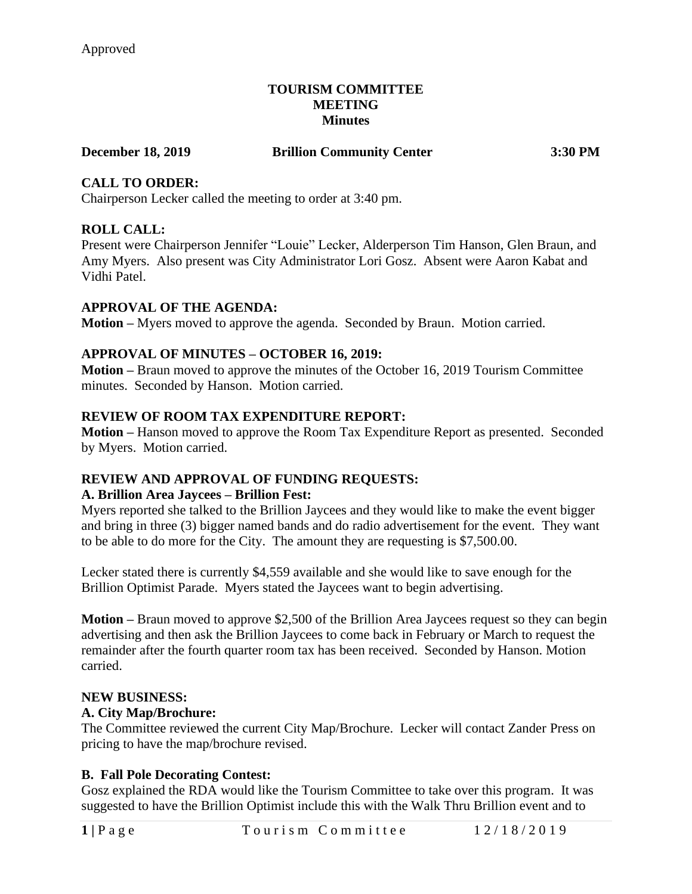## **TOURISM COMMITTEE MEETING Minutes**

## **December 18, 2019 Brillion Community Center 3:30 PM**

# **CALL TO ORDER:**

Chairperson Lecker called the meeting to order at 3:40 pm.

## **ROLL CALL:**

Present were Chairperson Jennifer "Louie" Lecker, Alderperson Tim Hanson, Glen Braun, and Amy Myers. Also present was City Administrator Lori Gosz. Absent were Aaron Kabat and Vidhi Patel.

## **APPROVAL OF THE AGENDA:**

**Motion –** Myers moved to approve the agenda. Seconded by Braun. Motion carried.

## **APPROVAL OF MINUTES – OCTOBER 16, 2019:**

**Motion –** Braun moved to approve the minutes of the October 16, 2019 Tourism Committee minutes. Seconded by Hanson. Motion carried.

## **REVIEW OF ROOM TAX EXPENDITURE REPORT:**

**Motion –** Hanson moved to approve the Room Tax Expenditure Report as presented. Seconded by Myers. Motion carried.

## **REVIEW AND APPROVAL OF FUNDING REQUESTS:**

#### **A. Brillion Area Jaycees – Brillion Fest:**

Myers reported she talked to the Brillion Jaycees and they would like to make the event bigger and bring in three (3) bigger named bands and do radio advertisement for the event. They want to be able to do more for the City. The amount they are requesting is \$7,500.00.

Lecker stated there is currently \$4,559 available and she would like to save enough for the Brillion Optimist Parade. Myers stated the Jaycees want to begin advertising.

**Motion –** Braun moved to approve \$2,500 of the Brillion Area Jaycees request so they can begin advertising and then ask the Brillion Jaycees to come back in February or March to request the remainder after the fourth quarter room tax has been received. Seconded by Hanson. Motion carried.

#### **NEW BUSINESS:**

#### **A. City Map/Brochure:**

The Committee reviewed the current City Map/Brochure. Lecker will contact Zander Press on pricing to have the map/brochure revised.

## **B. Fall Pole Decorating Contest:**

Gosz explained the RDA would like the Tourism Committee to take over this program. It was suggested to have the Brillion Optimist include this with the Walk Thru Brillion event and to